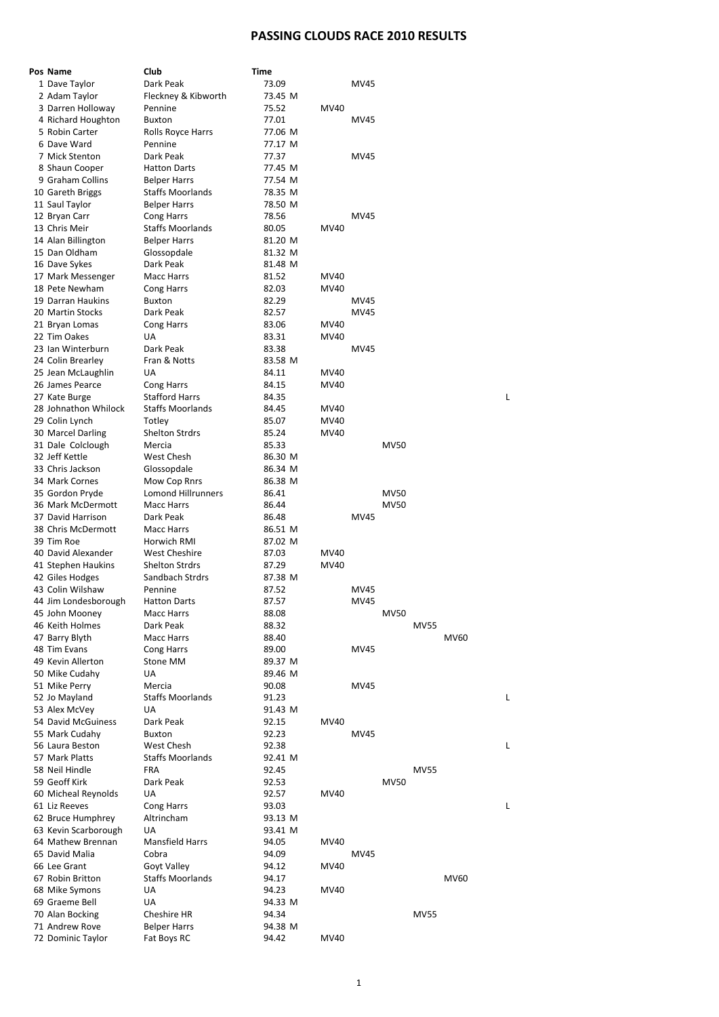## **PASSING CLOUDS RACE 2010 RESULTS**

| Pos Name                               | Club                              | Time             |              |             |             |             |      |
|----------------------------------------|-----------------------------------|------------------|--------------|-------------|-------------|-------------|------|
| 1 Dave Taylor                          | Dark Peak                         | 73.09            |              | MV45        |             |             |      |
| 2 Adam Taylor                          | Fleckney & Kibworth               | 73.45 M          |              |             |             |             |      |
| 3 Darren Holloway                      | Pennine                           | 75.52            | <b>MV40</b>  |             |             |             |      |
| 4 Richard Houghton<br>5 Robin Carter   | <b>Buxton</b>                     | 77.01<br>77.06 M |              | MV45        |             |             |      |
| 6 Dave Ward                            | Rolls Royce Harrs<br>Pennine      | 77.17 M          |              |             |             |             |      |
| 7 Mick Stenton                         | Dark Peak                         | 77.37            |              | MV45        |             |             |      |
| 8 Shaun Cooper                         | <b>Hatton Darts</b>               | 77.45 M          |              |             |             |             |      |
| 9 Graham Collins                       | <b>Belper Harrs</b>               | 77.54 M          |              |             |             |             |      |
| 10 Gareth Briggs                       | <b>Staffs Moorlands</b>           | 78.35 M          |              |             |             |             |      |
| 11 Saul Taylor                         | <b>Belper Harrs</b>               | 78.50 M          |              |             |             |             |      |
| 12 Bryan Carr                          | Cong Harrs                        | 78.56            |              | MV45        |             |             |      |
| 13 Chris Meir                          | <b>Staffs Moorlands</b>           | 80.05            | MV40         |             |             |             |      |
| 14 Alan Billington                     | <b>Belper Harrs</b>               | 81.20 M          |              |             |             |             |      |
| 15 Dan Oldham                          | Glossopdale                       | 81.32 M          |              |             |             |             |      |
| 16 Dave Sykes<br>17 Mark Messenger     | Dark Peak<br>Macc Harrs           | 81.48 M<br>81.52 | MV40         |             |             |             |      |
| 18 Pete Newham                         | <b>Cong Harrs</b>                 | 82.03            | MV40         |             |             |             |      |
| 19 Darran Haukins                      | <b>Buxton</b>                     | 82.29            |              | MV45        |             |             |      |
| 20 Martin Stocks                       | Dark Peak                         | 82.57            |              | MV45        |             |             |      |
| 21 Bryan Lomas                         | Cong Harrs                        | 83.06            | MV40         |             |             |             |      |
| 22 Tim Oakes                           | <b>UA</b>                         | 83.31            | <b>MV40</b>  |             |             |             |      |
| 23 Ian Winterburn                      | Dark Peak                         | 83.38            |              | <b>MV45</b> |             |             |      |
| 24 Colin Brearley                      | Fran & Notts                      | 83.58 M          |              |             |             |             |      |
| 25 Jean McLaughlin                     | UA                                | 84.11            | MV40         |             |             |             |      |
| 26 James Pearce                        | Cong Harrs                        | 84.15            | <b>MV40</b>  |             |             |             |      |
| 27 Kate Burge                          | <b>Stafford Harrs</b>             | 84.35            |              |             |             |             |      |
| 28 Johnathon Whilock<br>29 Colin Lynch | <b>Staffs Moorlands</b><br>Totley | 84.45<br>85.07   | MV40<br>MV40 |             |             |             |      |
| 30 Marcel Darling                      | <b>Shelton Strdrs</b>             | 85.24            | MV40         |             |             |             |      |
| 31 Dale Colclough                      | Mercia                            | 85.33            |              |             | <b>MV50</b> |             |      |
| 32 Jeff Kettle                         | West Chesh                        | 86.30 M          |              |             |             |             |      |
| 33 Chris Jackson                       | Glossopdale                       | 86.34 M          |              |             |             |             |      |
| 34 Mark Cornes                         | Mow Cop Rnrs                      | 86.38 M          |              |             |             |             |      |
| 35 Gordon Pryde                        | Lomond Hillrunners                | 86.41            |              |             | <b>MV50</b> |             |      |
| 36 Mark McDermott                      | Macc Harrs                        | 86.44            |              |             | <b>MV50</b> |             |      |
| 37 David Harrison                      | Dark Peak                         | 86.48            |              | MV45        |             |             |      |
| 38 Chris McDermott                     | <b>Macc Harrs</b>                 | 86.51 M          |              |             |             |             |      |
| 39 Tim Roe<br>40 David Alexander       | Horwich RMI<br>West Cheshire      | 87.02 M<br>87.03 | MV40         |             |             |             |      |
| 41 Stephen Haukins                     | <b>Shelton Strdrs</b>             | 87.29            | MV40         |             |             |             |      |
| 42 Giles Hodges                        | Sandbach Strdrs                   | 87.38 M          |              |             |             |             |      |
| 43 Colin Wilshaw                       | Pennine                           | 87.52            |              | MV45        |             |             |      |
| 44 Jim Londesborough                   | <b>Hatton Darts</b>               | 87.57            |              | <b>MV45</b> |             |             |      |
| 45 John Mooney                         | Macc Harrs                        | 88.08            |              |             | <b>MV50</b> |             |      |
| 46 Keith Holmes                        | Dark Peak                         | 88.32            |              |             |             | <b>MV55</b> |      |
| 47 Barry Blyth                         | <b>Macc Harrs</b>                 | 88.40            |              |             |             |             | MV60 |
| 48 Tim Evans                           | Cong Harrs                        | 89.00            |              | MV45        |             |             |      |
| 49 Kevin Allerton                      | Stone MM                          | 89.37 M          |              |             |             |             |      |
| 50 Mike Cudahy<br>51 Mike Perry        | <b>UA</b><br>Mercia               | 89.46 M<br>90.08 |              | MV45        |             |             |      |
| 52 Jo Mayland                          | <b>Staffs Moorlands</b>           | 91.23            |              |             |             |             |      |
| 53 Alex McVey                          | UA                                | 91.43 M          |              |             |             |             |      |
| 54 David McGuiness                     | Dark Peak                         | 92.15            | MV40         |             |             |             |      |
| 55 Mark Cudahy                         | <b>Buxton</b>                     | 92.23            |              | MV45        |             |             |      |
| 56 Laura Beston                        | West Chesh                        | 92.38            |              |             |             |             |      |
| 57 Mark Platts                         | <b>Staffs Moorlands</b>           | 92.41 M          |              |             |             |             |      |
| 58 Neil Hindle                         | <b>FRA</b>                        | 92.45            |              |             |             | <b>MV55</b> |      |
| 59 Geoff Kirk                          | Dark Peak                         | 92.53            |              |             | <b>MV50</b> |             |      |
| 60 Micheal Reynolds                    | UA                                | 92.57            | MV40         |             |             |             |      |
| 61 Liz Reeves<br>62 Bruce Humphrey     | Cong Harrs<br>Altrincham          | 93.03<br>93.13 M |              |             |             |             |      |
| 63 Kevin Scarborough                   | UA                                | 93.41 M          |              |             |             |             |      |
| 64 Mathew Brennan                      | <b>Mansfield Harrs</b>            | 94.05            | MV40         |             |             |             |      |
| 65 David Malia                         | Cobra                             | 94.09            |              | <b>MV45</b> |             |             |      |
| 66 Lee Grant                           | Goyt Valley                       | 94.12            | MV40         |             |             |             |      |
| 67 Robin Britton                       | <b>Staffs Moorlands</b>           | 94.17            |              |             |             |             | MV60 |
| 68 Mike Symons                         | UA                                | 94.23            | MV40         |             |             |             |      |
| 69 Graeme Bell                         | <b>UA</b>                         | 94.33 M          |              |             |             |             |      |
| 70 Alan Bocking                        | Cheshire HR                       | 94.34            |              |             |             | <b>MV55</b> |      |
| 71 Andrew Rove                         | <b>Belper Harrs</b>               | 94.38 M          |              |             |             |             |      |
| 72 Dominic Taylor                      | Fat Boys RC                       | 94.42            | MV40         |             |             |             |      |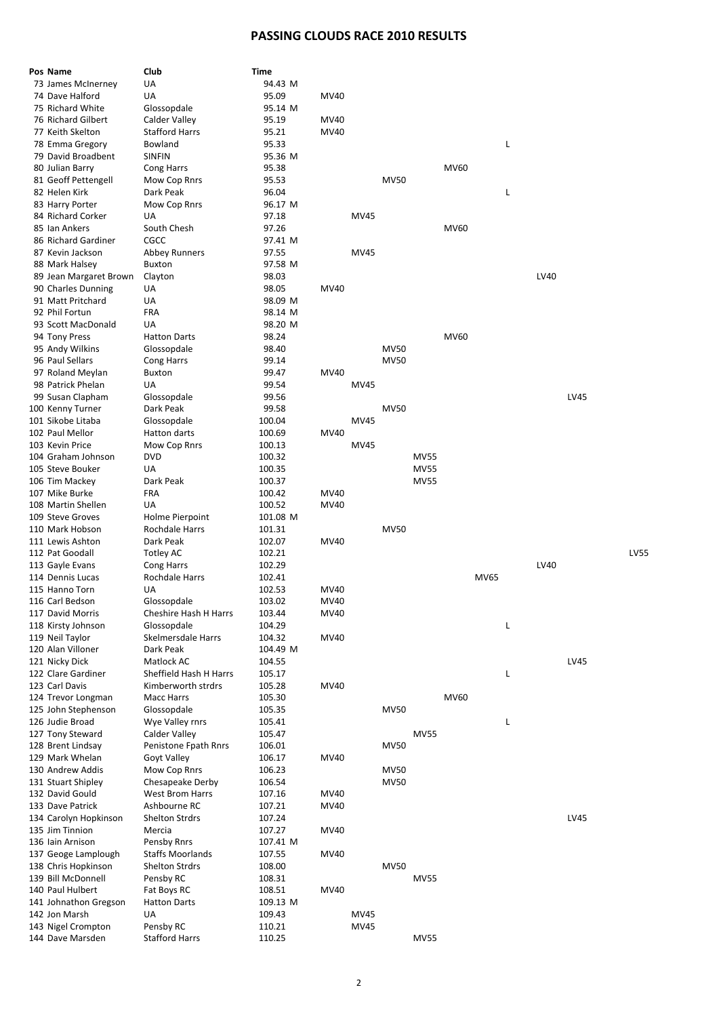## **PASSING CLOUDS RACE 2010 RESULTS**

| Pos Name               | Club                    | Time     |             |      |             |             |      |             |   |      |      |             |
|------------------------|-------------------------|----------|-------------|------|-------------|-------------|------|-------------|---|------|------|-------------|
| 73 James McInerney     | UA                      | 94.43 M  |             |      |             |             |      |             |   |      |      |             |
| 74 Dave Halford        | UA                      | 95.09    | MV40        |      |             |             |      |             |   |      |      |             |
| 75 Richard White       | Glossopdale             | 95.14 M  |             |      |             |             |      |             |   |      |      |             |
| 76 Richard Gilbert     | Calder Valley           | 95.19    | MV40        |      |             |             |      |             |   |      |      |             |
| 77 Keith Skelton       | <b>Stafford Harrs</b>   | 95.21    | MV40        |      |             |             |      |             |   |      |      |             |
| 78 Emma Gregory        | Bowland                 | 95.33    |             |      |             |             |      |             | Г |      |      |             |
| 79 David Broadbent     | <b>SINFIN</b>           | 95.36 M  |             |      |             |             |      |             |   |      |      |             |
| 80 Julian Barry        | Cong Harrs              | 95.38    |             |      |             |             | MV60 |             |   |      |      |             |
| 81 Geoff Pettengell    | Mow Cop Rnrs            | 95.53    |             |      | <b>MV50</b> |             |      |             |   |      |      |             |
| 82 Helen Kirk          | Dark Peak               | 96.04    |             |      |             |             |      |             | L |      |      |             |
| 83 Harry Porter        | Mow Cop Rnrs            | 96.17 M  |             |      |             |             |      |             |   |      |      |             |
| 84 Richard Corker      | UA                      | 97.18    |             | MV45 |             |             |      |             |   |      |      |             |
|                        |                         |          |             |      |             |             |      |             |   |      |      |             |
| 85 Ian Ankers          | South Chesh             | 97.26    |             |      |             |             | MV60 |             |   |      |      |             |
| 86 Richard Gardiner    | CGCC                    | 97.41 M  |             |      |             |             |      |             |   |      |      |             |
| 87 Kevin Jackson       | Abbey Runners           | 97.55    |             | MV45 |             |             |      |             |   |      |      |             |
| 88 Mark Halsey         | <b>Buxton</b>           | 97.58 M  |             |      |             |             |      |             |   |      |      |             |
| 89 Jean Margaret Brown | Clayton                 | 98.03    |             |      |             |             |      |             |   | LV40 |      |             |
| 90 Charles Dunning     | UA                      | 98.05    | MV40        |      |             |             |      |             |   |      |      |             |
| 91 Matt Pritchard      | UA                      | 98.09 M  |             |      |             |             |      |             |   |      |      |             |
| 92 Phil Fortun         | FRA                     | 98.14 M  |             |      |             |             |      |             |   |      |      |             |
| 93 Scott MacDonald     | UA                      | 98.20 M  |             |      |             |             |      |             |   |      |      |             |
| 94 Tony Press          | <b>Hatton Darts</b>     | 98.24    |             |      |             |             | MV60 |             |   |      |      |             |
| 95 Andy Wilkins        | Glossopdale             | 98.40    |             |      | <b>MV50</b> |             |      |             |   |      |      |             |
| 96 Paul Sellars        | Cong Harrs              | 99.14    |             |      | <b>MV50</b> |             |      |             |   |      |      |             |
| 97 Roland Meylan       | Buxton                  | 99.47    | MV40        |      |             |             |      |             |   |      |      |             |
|                        |                         |          |             |      |             |             |      |             |   |      |      |             |
| 98 Patrick Phelan      | UA                      | 99.54    |             | MV45 |             |             |      |             |   |      |      |             |
| 99 Susan Clapham       | Glossopdale             | 99.56    |             |      |             |             |      |             |   |      | LV45 |             |
| 100 Kenny Turner       | Dark Peak               | 99.58    |             |      | <b>MV50</b> |             |      |             |   |      |      |             |
| 101 Sikobe Litaba      | Glossopdale             | 100.04   |             | MV45 |             |             |      |             |   |      |      |             |
| 102 Paul Mellor        | Hatton darts            | 100.69   | MV40        |      |             |             |      |             |   |      |      |             |
| 103 Kevin Price        | Mow Cop Rnrs            | 100.13   |             | MV45 |             |             |      |             |   |      |      |             |
| 104 Graham Johnson     | <b>DVD</b>              | 100.32   |             |      |             | <b>MV55</b> |      |             |   |      |      |             |
| 105 Steve Bouker       | UA                      | 100.35   |             |      |             | <b>MV55</b> |      |             |   |      |      |             |
| 106 Tim Mackey         | Dark Peak               | 100.37   |             |      |             | <b>MV55</b> |      |             |   |      |      |             |
| 107 Mike Burke         | <b>FRA</b>              | 100.42   | MV40        |      |             |             |      |             |   |      |      |             |
|                        |                         |          |             |      |             |             |      |             |   |      |      |             |
|                        |                         |          |             |      |             |             |      |             |   |      |      |             |
| 108 Martin Shellen     | UA                      | 100.52   | MV40        |      |             |             |      |             |   |      |      |             |
| 109 Steve Groves       | Holme Pierpoint         | 101.08 M |             |      |             |             |      |             |   |      |      |             |
| 110 Mark Hobson        | Rochdale Harrs          | 101.31   |             |      | <b>MV50</b> |             |      |             |   |      |      |             |
| 111 Lewis Ashton       | Dark Peak               | 102.07   | MV40        |      |             |             |      |             |   |      |      |             |
| 112 Pat Goodall        | Totley AC               | 102.21   |             |      |             |             |      |             |   |      |      | <b>LV55</b> |
| 113 Gayle Evans        | Cong Harrs              | 102.29   |             |      |             |             |      |             |   | LV40 |      |             |
| 114 Dennis Lucas       | Rochdale Harrs          | 102.41   |             |      |             |             |      | <b>MV65</b> |   |      |      |             |
| 115 Hanno Torn         | UA                      | 102.53   | MV40        |      |             |             |      |             |   |      |      |             |
| 116 Carl Bedson        | Glossopdale             | 103.02   | MV40        |      |             |             |      |             |   |      |      |             |
| 117 David Morris       | Cheshire Hash H Harrs   | 103.44   | MV40        |      |             |             |      |             |   |      |      |             |
| 118 Kirsty Johnson     | Glossopdale             | 104.29   |             |      |             |             |      |             | Г |      |      |             |
| 119 Neil Taylor        | Skelmersdale Harrs      | 104.32   | MV40        |      |             |             |      |             |   |      |      |             |
| 120 Alan Villoner      | Dark Peak               | 104.49 M |             |      |             |             |      |             |   |      |      |             |
|                        |                         |          |             |      |             |             |      |             |   |      |      |             |
| 121 Nicky Dick         | Matlock AC              | 104.55   |             |      |             |             |      |             |   |      | LV45 |             |
| 122 Clare Gardiner     | Sheffield Hash H Harrs  | 105.17   |             |      |             |             |      |             | L |      |      |             |
| 123 Carl Davis         | Kimberworth strdrs      | 105.28   | MV40        |      |             |             |      |             |   |      |      |             |
| 124 Trevor Longman     | Macc Harrs              | 105.30   |             |      |             |             | MV60 |             |   |      |      |             |
| 125 John Stephenson    | Glossopdale             | 105.35   |             |      | <b>MV50</b> |             |      |             |   |      |      |             |
| 126 Judie Broad        | Wye Valley rnrs         | 105.41   |             |      |             |             |      |             | L |      |      |             |
| 127 Tony Steward       | Calder Valley           | 105.47   |             |      |             | <b>MV55</b> |      |             |   |      |      |             |
| 128 Brent Lindsay      | Penistone Fpath Rnrs    | 106.01   |             |      | <b>MV50</b> |             |      |             |   |      |      |             |
| 129 Mark Whelan        | Goyt Valley             | 106.17   | MV40        |      |             |             |      |             |   |      |      |             |
| 130 Andrew Addis       | Mow Cop Rnrs            | 106.23   |             |      | <b>MV50</b> |             |      |             |   |      |      |             |
| 131 Stuart Shipley     | Chesapeake Derby        | 106.54   |             |      | <b>MV50</b> |             |      |             |   |      |      |             |
| 132 David Gould        | <b>West Brom Harrs</b>  | 107.16   | MV40        |      |             |             |      |             |   |      |      |             |
| 133 Dave Patrick       | Ashbourne RC            | 107.21   | MV40        |      |             |             |      |             |   |      |      |             |
| 134 Carolyn Hopkinson  | <b>Shelton Strdrs</b>   | 107.24   |             |      |             |             |      |             |   |      | LV45 |             |
| 135 Jim Tinnion        | Mercia                  |          | <b>MV40</b> |      |             |             |      |             |   |      |      |             |
|                        |                         | 107.27   |             |      |             |             |      |             |   |      |      |             |
| 136 Iain Arnison       | Pensby Rnrs             | 107.41 M |             |      |             |             |      |             |   |      |      |             |
| 137 Geoge Lamplough    | <b>Staffs Moorlands</b> | 107.55   | MV40        |      |             |             |      |             |   |      |      |             |
| 138 Chris Hopkinson    | <b>Shelton Strdrs</b>   | 108.00   |             |      | <b>MV50</b> |             |      |             |   |      |      |             |
| 139 Bill McDonnell     | Pensby RC               | 108.31   |             |      |             | <b>MV55</b> |      |             |   |      |      |             |
| 140 Paul Hulbert       | Fat Boys RC             | 108.51   | MV40        |      |             |             |      |             |   |      |      |             |
| 141 Johnathon Gregson  | <b>Hatton Darts</b>     | 109.13 M |             |      |             |             |      |             |   |      |      |             |
| 142 Jon Marsh          | UA                      | 109.43   |             | MV45 |             |             |      |             |   |      |      |             |
| 143 Nigel Crompton     | Pensby RC               | 110.21   |             | MV45 |             |             |      |             |   |      |      |             |
| 144 Dave Marsden       | <b>Stafford Harrs</b>   | 110.25   |             |      |             | <b>MV55</b> |      |             |   |      |      |             |